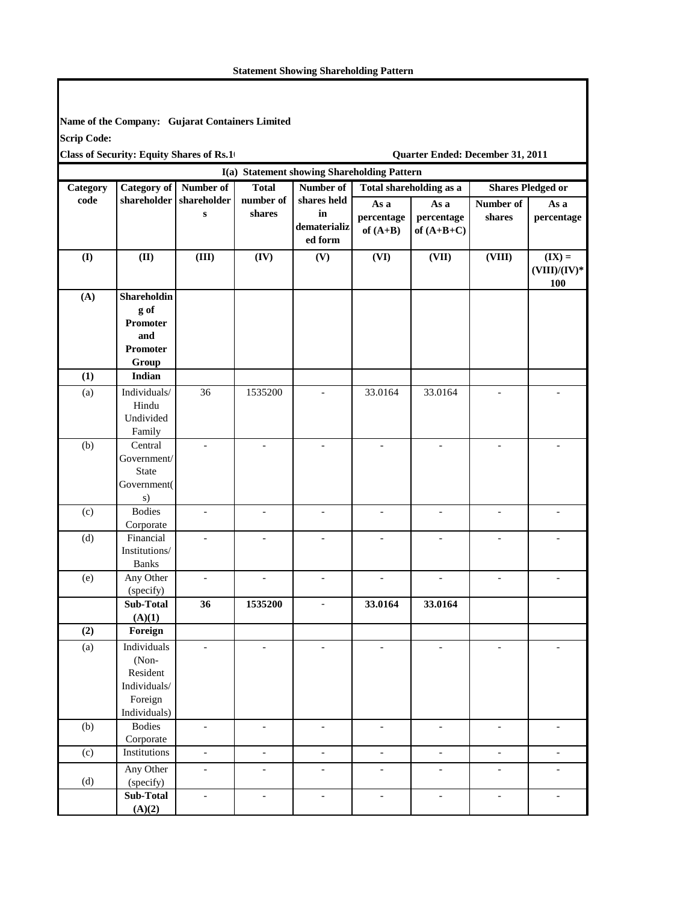## **Statement Showing Shareholding Pattern**

I

| <b>Scrip Code:</b> | Name of the Company: Gujarat Containers Limited |                          |                          |                                             |                          |                                  |                          |                                    |
|--------------------|-------------------------------------------------|--------------------------|--------------------------|---------------------------------------------|--------------------------|----------------------------------|--------------------------|------------------------------------|
|                    | <b>Class of Security: Equity Shares of Rs.1</b> |                          |                          |                                             |                          | Quarter Ended: December 31, 2011 |                          |                                    |
|                    |                                                 |                          |                          | I(a) Statement showing Shareholding Pattern |                          |                                  |                          |                                    |
| Category           | <b>Category of</b>                              | Number of                | <b>Total</b>             | Number of                                   |                          | <b>Total shareholding as a</b>   | <b>Shares Pledged or</b> |                                    |
| code               | shareholder                                     | shareholder              | number of                | shares held                                 | As a                     | As a                             | Number of                | As a                               |
|                    |                                                 | $\bf{s}$                 | shares                   | in<br>dematerializ<br>ed form               | percentage<br>of $(A+B)$ | percentage<br>of $(A+B+C)$       | shares                   | percentage                         |
| $($ $\Gamma$       | (II)                                            | (III)                    | (IV)                     | (V)                                         | (VI)                     | (VII)                            | (VIII)                   | $(IX) =$<br>$(VIII)/(IV)^*$<br>100 |
| (A)                | Shareholdin                                     |                          |                          |                                             |                          |                                  |                          |                                    |
|                    | g of                                            |                          |                          |                                             |                          |                                  |                          |                                    |
|                    | <b>Promoter</b>                                 |                          |                          |                                             |                          |                                  |                          |                                    |
|                    | and                                             |                          |                          |                                             |                          |                                  |                          |                                    |
|                    | <b>Promoter</b>                                 |                          |                          |                                             |                          |                                  |                          |                                    |
|                    | Group                                           |                          |                          |                                             |                          |                                  |                          |                                    |
| (1)                | Indian                                          |                          |                          |                                             |                          |                                  |                          |                                    |
| (a)                | Individuals/                                    | 36                       | 1535200                  |                                             | 33.0164                  | 33.0164                          |                          |                                    |
|                    | Hindu                                           |                          |                          |                                             |                          |                                  |                          |                                    |
|                    | Undivided                                       |                          |                          |                                             |                          |                                  |                          |                                    |
| (b)                | Family<br>Central                               |                          |                          |                                             |                          |                                  |                          |                                    |
|                    | Government/                                     |                          |                          |                                             |                          |                                  |                          |                                    |
|                    | <b>State</b>                                    |                          |                          |                                             |                          |                                  |                          |                                    |
|                    | Government(                                     |                          |                          |                                             |                          |                                  |                          |                                    |
|                    | s)                                              |                          |                          |                                             |                          |                                  |                          |                                    |
| (c)                | <b>Bodies</b>                                   |                          | $\overline{\phantom{a}}$ |                                             |                          |                                  |                          |                                    |
|                    | Corporate                                       |                          |                          |                                             |                          |                                  |                          |                                    |
| (d)                | Financial                                       | $\overline{a}$           | $\overline{\phantom{a}}$ | $\overline{a}$                              |                          | $\overline{a}$                   | $\overline{a}$           |                                    |
|                    | Institutions/                                   |                          |                          |                                             |                          |                                  |                          |                                    |
|                    | <b>Banks</b>                                    |                          |                          |                                             |                          |                                  |                          |                                    |
| (e)                | Any Other                                       | $\overline{\phantom{0}}$ | $\overline{\phantom{a}}$ | $\overline{a}$                              | $\blacksquare$           | $\overline{\phantom{a}}$         | $\overline{\phantom{a}}$ | $\blacksquare$                     |
|                    | (specify)                                       |                          |                          |                                             |                          |                                  |                          |                                    |
|                    | <b>Sub-Total</b>                                | 36                       | 1535200                  | $\overline{\phantom{m}}$                    | 33.0164                  | 33.0164                          |                          |                                    |
| (2)                | (A)(1)                                          |                          |                          |                                             |                          |                                  |                          |                                    |
|                    | Foreign                                         |                          |                          |                                             |                          |                                  |                          |                                    |
| (a)                | Individuals                                     | $\overline{\phantom{a}}$ | $\overline{\phantom{a}}$ | $\overline{\phantom{0}}$                    | $\overline{\phantom{a}}$ | $\overline{\phantom{a}}$         | $\frac{1}{2}$            |                                    |
|                    | (Non-<br>Resident                               |                          |                          |                                             |                          |                                  |                          |                                    |
|                    | Individuals/                                    |                          |                          |                                             |                          |                                  |                          |                                    |
|                    | Foreign                                         |                          |                          |                                             |                          |                                  |                          |                                    |
|                    | Individuals)                                    |                          |                          |                                             |                          |                                  |                          |                                    |
| (b)                | <b>Bodies</b>                                   | $\overline{\phantom{a}}$ | $\overline{\phantom{a}}$ | $\frac{1}{2}$                               | $\overline{\phantom{a}}$ | $\overline{\phantom{a}}$         | $\overline{\phantom{a}}$ | $\overline{\phantom{a}}$           |
|                    | Corporate                                       |                          |                          |                                             |                          |                                  |                          |                                    |
| (c)                | Institutions                                    | $\overline{\phantom{a}}$ | $\overline{\phantom{a}}$ | $\overline{\phantom{a}}$                    | $\overline{\phantom{a}}$ | $\overline{\phantom{a}}$         | $\overline{\phantom{a}}$ | $\overline{\phantom{a}}$           |
|                    | Any Other                                       | $\overline{\phantom{a}}$ | $\overline{\phantom{a}}$ | $\overline{\phantom{0}}$                    | $\blacksquare$           | $\overline{\phantom{a}}$         | $\overline{\phantom{0}}$ | $\blacksquare$                     |
| (d)                | (specify)                                       |                          |                          |                                             |                          |                                  |                          |                                    |
|                    | Sub-Total                                       | $\overline{\phantom{a}}$ | $\overline{\phantom{a}}$ | $\overline{\phantom{a}}$                    | $\overline{\phantom{a}}$ | $\overline{\phantom{a}}$         | $\overline{\phantom{a}}$ | $\overline{\phantom{a}}$           |
|                    | (A)(2)                                          |                          |                          |                                             |                          |                                  |                          |                                    |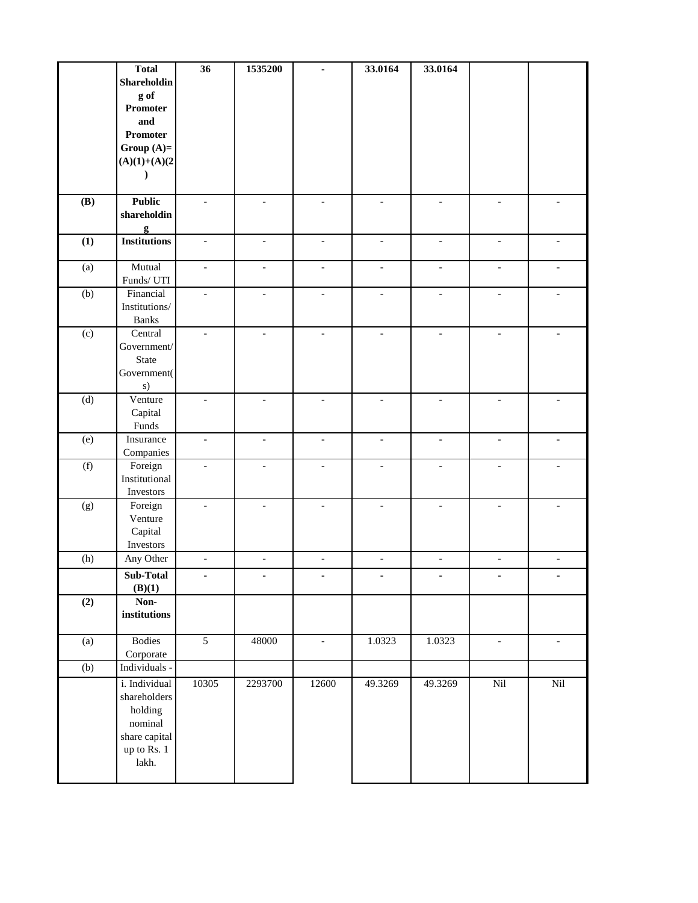|     | <b>Total</b><br>Shareholdin<br>g of<br>Promoter<br>and<br><b>Promoter</b><br>Group $(A)=$<br>$(A)(1)+(A)(2)$<br>$\lambda$ | $\overline{36}$          | 1535200                  |                          | 33.0164                      | 33.0164                  |                          |                          |
|-----|---------------------------------------------------------------------------------------------------------------------------|--------------------------|--------------------------|--------------------------|------------------------------|--------------------------|--------------------------|--------------------------|
| (B) | <b>Public</b><br>shareholdin<br>g                                                                                         | $\blacksquare$           | $\overline{\phantom{a}}$ | $\overline{\phantom{a}}$ | $\overline{\phantom{a}}$     | $\overline{\phantom{a}}$ | $\overline{\phantom{a}}$ | $\overline{\phantom{a}}$ |
| (1) | <b>Institutions</b>                                                                                                       | $\overline{\phantom{a}}$ | $\overline{\phantom{a}}$ | $\overline{\phantom{a}}$ | $\blacksquare$               | $\overline{\phantom{a}}$ | $\overline{\phantom{a}}$ | $\overline{\phantom{a}}$ |
| (a) | Mutual<br>Funds/ UTI                                                                                                      | $\blacksquare$           | $\overline{\phantom{a}}$ | $\overline{\phantom{a}}$ | $\qquad \qquad \blacksquare$ | $\overline{\phantom{a}}$ | $\blacksquare$           | $\blacksquare$           |
| (b) | Financial<br>Institutions/<br><b>Banks</b>                                                                                |                          | $\overline{a}$           | $\overline{a}$           |                              |                          | $\blacksquare$           |                          |
| (c) | Central<br>Government/<br><b>State</b><br>Government(<br>s)                                                               | $\overline{\phantom{a}}$ | $\bar{\phantom{a}}$      | $\bar{\phantom{a}}$      | $\overline{\phantom{a}}$     | $\equiv$                 | $\overline{\phantom{a}}$ | $\blacksquare$           |
| (d) | Venture<br>Capital<br>Funds                                                                                               | $\blacksquare$           | $\blacksquare$           | $\blacksquare$           | $\overline{\phantom{a}}$     | $\blacksquare$           | $\qquad \qquad \Box$     |                          |
| (e) | Insurance<br>Companies                                                                                                    | $\overline{\phantom{a}}$ | $\blacksquare$           | $\overline{\phantom{a}}$ | $\overline{\phantom{a}}$     | $\overline{\phantom{a}}$ | $\overline{\phantom{a}}$ | $\overline{\phantom{a}}$ |
| (f) | Foreign<br>Institutional<br>Investors                                                                                     |                          | $\overline{a}$           | $\overline{a}$           | $\overline{a}$               | $\overline{\phantom{a}}$ | $\overline{\phantom{a}}$ |                          |
| (g) | Foreign<br>Venture<br>Capital<br>Investors                                                                                |                          |                          |                          |                              |                          | $\overline{\phantom{a}}$ |                          |
| (h) | Any Other                                                                                                                 | $\bar{\phantom{a}}$      | $\Box$                   | $\frac{1}{2}$            | $\Box$                       | $\blacksquare$           | $\blacksquare$           | $\blacksquare$           |
|     | Sub-Total<br>(B)(1)                                                                                                       |                          |                          | ۰                        | ٠                            | ۰                        |                          | ۰                        |
| (2) | Non-<br>institutions                                                                                                      |                          |                          |                          |                              |                          |                          |                          |
| (a) | <b>Bodies</b><br>Corporate                                                                                                | $\overline{5}$           | 48000                    | ä,                       | 1.0323                       | 1.0323                   | $\blacksquare$           | $\overline{\phantom{a}}$ |
| (b) | Individuals -<br>i. Individual<br>shareholders<br>holding<br>nominal<br>share capital<br>up to Rs. 1<br>lakh.             | 10305                    | 2293700                  | 12600                    | 49.3269                      | 49.3269                  | Nil                      | Nil                      |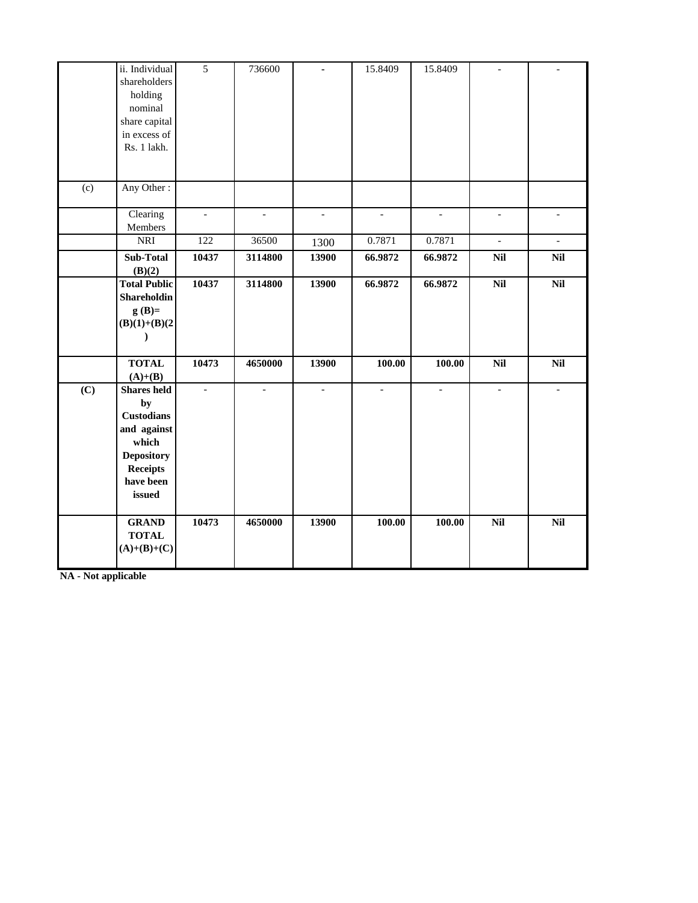|     | ii. Individual<br>shareholders<br>holding<br>nominal<br>share capital<br>in excess of<br>Rs. 1 lakh.                                 | $\overline{5}$           | 736600         | ä,             | 15.8409      | 15.8409        | $\blacksquare$           |                          |
|-----|--------------------------------------------------------------------------------------------------------------------------------------|--------------------------|----------------|----------------|--------------|----------------|--------------------------|--------------------------|
| (c) | Any Other:                                                                                                                           |                          |                |                |              |                |                          |                          |
|     | Clearing<br>Members                                                                                                                  | $\overline{\phantom{a}}$ | $\equiv$       | $\overline{a}$ | $\equiv$     | $\overline{a}$ | $\overline{\phantom{a}}$ | $\overline{\phantom{a}}$ |
|     | <b>NRI</b>                                                                                                                           | 122                      | 36500          | 1300           | 0.7871       | 0.7871         | $\mathbb{L}$             | $\mathbf{r}$             |
|     | Sub-Total<br>(B)(2)                                                                                                                  | 10437                    | 3114800        | 13900          | 66.9872      | 66.9872        | Nil                      | <b>Nil</b>               |
|     | <b>Total Public</b><br>Shareholdin<br>$g(B)=$<br>$(B)(1)+(B)(2)$<br>$\lambda$                                                        | 10437                    | 3114800        | 13900          | 66.9872      | 66.9872        | $\overline{Nil}$         | $\overline{Nil}$         |
|     | <b>TOTAL</b><br>$(A)+(B)$                                                                                                            | 10473                    | 4650000        | 13900          | 100.00       | 100.00         | Nil                      | <b>Nil</b>               |
| (C) | <b>Shares</b> held<br>by<br><b>Custodians</b><br>and against<br>which<br><b>Depository</b><br><b>Receipts</b><br>have been<br>issued | $\overline{\phantom{a}}$ | $\overline{a}$ | $\overline{a}$ | $\mathbf{r}$ | $\equiv$       | $\overline{\phantom{a}}$ | $\equiv$                 |
|     | <b>GRAND</b><br><b>TOTAL</b><br>$(A)+(B)+(C)$                                                                                        | 10473                    | 4650000        | 13900          | 100.00       | 100.00         | $\overline{Nil}$         | $\overline{Nil}$         |

**NA - Not applicable**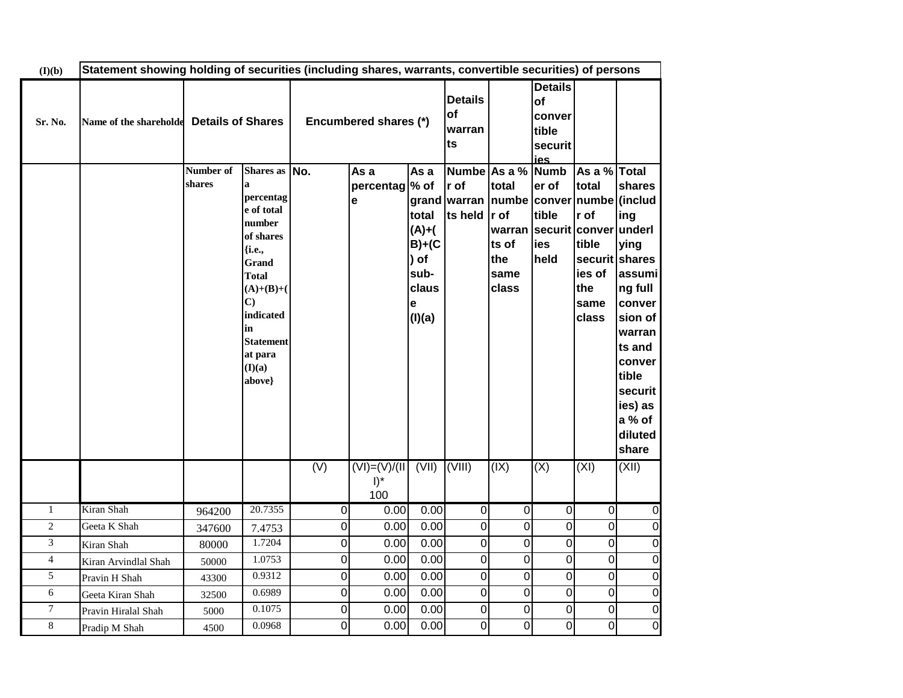| (I)(b)         |                                          | Statement showing holding of securities (including shares, warrants, convertible securities) of persons |                                                                                                                                                                                                              |     |                                                               |                                                                            |                                                                                              |                                                                        |                                                           |                                                                                            |                                                                                                                                                            |
|----------------|------------------------------------------|---------------------------------------------------------------------------------------------------------|--------------------------------------------------------------------------------------------------------------------------------------------------------------------------------------------------------------|-----|---------------------------------------------------------------|----------------------------------------------------------------------------|----------------------------------------------------------------------------------------------|------------------------------------------------------------------------|-----------------------------------------------------------|--------------------------------------------------------------------------------------------|------------------------------------------------------------------------------------------------------------------------------------------------------------|
| Sr. No.        | Name of the shareholde Details of Shares |                                                                                                         |                                                                                                                                                                                                              |     | <b>Details</b><br>of<br>Encumbered shares (*)<br>warran<br>ts |                                                                            |                                                                                              |                                                                        | <b>Details</b><br>of<br>conver<br>tible<br>securit<br>ies |                                                                                            |                                                                                                                                                            |
|                |                                          | Number of<br>shares                                                                                     | Shares as No.<br>a<br>percentag<br>e of total<br>number<br>of shares<br>{i.e.,<br>Grand<br><b>Total</b><br>$(A)+(B)+($<br>$\mathbf{C}$<br>indicated<br>in<br><b>Statement</b><br>at para<br>(I)(a)<br>above} |     | As a<br>percentag % of<br>е                                   | As a<br>total<br>$(A)+$<br>$B)+(C$<br>) of<br>sub-<br>claus<br>e<br>(I)(a) | Numbe As a % Numb<br>r of<br>grand warran   numbe   conver   numbe   (includ<br>ts held r of | total<br>warran securit conver underl<br>ts of<br>the<br>same<br>class | er of<br>tible<br>ies<br>held                             | As a % Total<br>total<br>r of<br>tible<br>securit shares<br>ies of<br>the<br>same<br>class | shares<br>ing<br>ying<br>assumi<br>ng full<br>conver<br>sion of<br>warran<br>ts and<br>conver<br>tible<br>securit<br>ies) as<br>a % of<br>diluted<br>share |
|                |                                          |                                                                                                         |                                                                                                                                                                                                              | (V) | $(VI) = (V)/(II) (VII) (VIII)$<br>$\mathsf{I})^*$<br>100      |                                                                            |                                                                                              | (IX)                                                                   | (X)                                                       | (XI)                                                                                       | (XII)                                                                                                                                                      |
| $\mathbf{1}$   | Kiran Shah                               | 964200                                                                                                  | 20.7355                                                                                                                                                                                                      | 0   | 0.00                                                          | 0.00                                                                       | $\overline{0}$                                                                               | $\overline{0}$                                                         | $\overline{0}$                                            | 0                                                                                          | 0                                                                                                                                                          |
| $\overline{c}$ | Geeta K Shah                             | 347600                                                                                                  | 7.4753                                                                                                                                                                                                       | 0   | 0.00                                                          | 0.00                                                                       | $\overline{0}$                                                                               | $\overline{0}$                                                         | $\overline{0}$                                            | $\overline{0}$                                                                             | $\overline{0}$                                                                                                                                             |
| 3              | Kiran Shah                               | 80000                                                                                                   | 1.7204                                                                                                                                                                                                       | 0   | 0.00                                                          | 0.00                                                                       | $\overline{0}$                                                                               | 0                                                                      | $\overline{0}$                                            | 0                                                                                          | $\overline{0}$                                                                                                                                             |
| $\overline{4}$ | Kiran Arvindlal Shah                     | 50000                                                                                                   | 1.0753                                                                                                                                                                                                       | 0   | 0.00                                                          | 0.00                                                                       | $\overline{0}$                                                                               | 0                                                                      | $\overline{0}$                                            | 0                                                                                          | $\overline{O}$                                                                                                                                             |
| 5              | Pravin H Shah                            | 43300                                                                                                   | 0.9312                                                                                                                                                                                                       | 0   | 0.00                                                          | 0.00                                                                       | $\overline{0}$                                                                               | $\mathbf 0$                                                            | $\overline{0}$                                            | 0                                                                                          | $\overline{0}$                                                                                                                                             |
| 6              | Geeta Kiran Shah                         | 32500                                                                                                   | 0.6989                                                                                                                                                                                                       | 0   | 0.00                                                          | 0.00                                                                       | $\overline{0}$                                                                               | $\overline{0}$                                                         | $\overline{0}$                                            | 0                                                                                          | $\overline{O}$                                                                                                                                             |
| 7              | Pravin Hiralal Shah                      | 5000                                                                                                    | 0.1075                                                                                                                                                                                                       | 0   | 0.00                                                          | 0.00                                                                       | $\mathsf{O}\xspace$                                                                          | 0                                                                      | $\mathbf 0$                                               | 0                                                                                          | $\overline{O}$                                                                                                                                             |
| $\,8\,$        | Pradip M Shah                            | 4500                                                                                                    | 0.0968                                                                                                                                                                                                       | 0   | 0.00                                                          | 0.00                                                                       | $\overline{0}$                                                                               | $\overline{0}$                                                         | $\overline{0}$                                            | 0                                                                                          | $\overline{0}$                                                                                                                                             |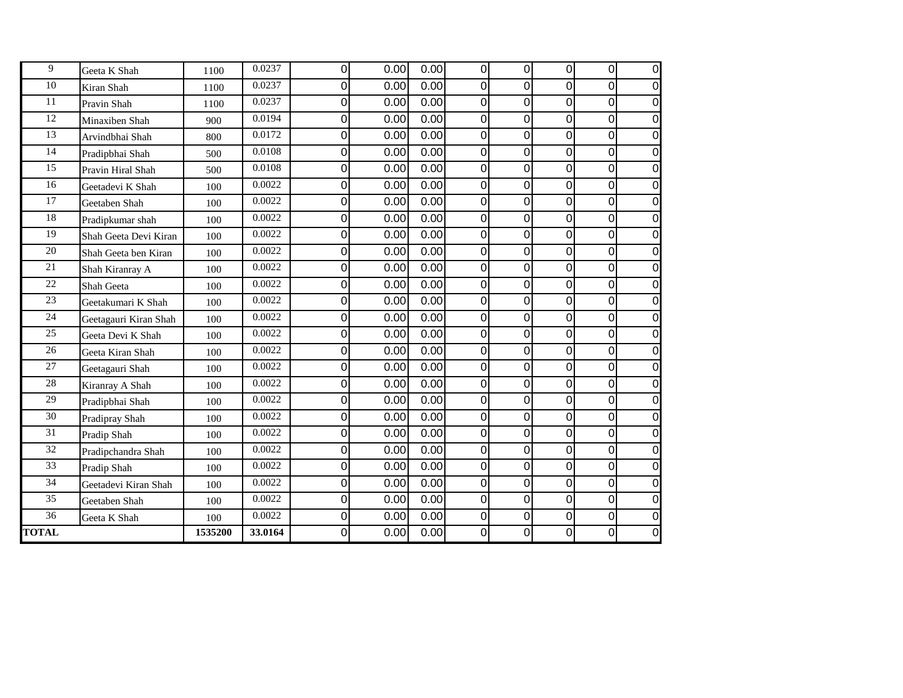| 9               | Geeta K Shah          | 1100    | 0.0237  | 0 | 0.00 | 0.00 | $\pmb{0}$      | $\overline{0}$ | 0 | 0                | 0              |
|-----------------|-----------------------|---------|---------|---|------|------|----------------|----------------|---|------------------|----------------|
| 10              | Kiran Shah            | 1100    | 0.0237  | 0 | 0.00 | 0.00 | $\mathbf 0$    | 0              | 0 | $\mathbf 0$      | $\Omega$       |
| 11              | Pravin Shah           | 1100    | 0.0237  | 0 | 0.00 | 0.00 | 0              | 0              | 0 | 0                | $\mathbf 0$    |
| 12              | Minaxiben Shah        | 900     | 0.0194  | 0 | 0.00 | 0.00 | 0              | 0              | 0 | 0                | $\mathbf 0$    |
| 13              | Arvindbhai Shah       | 800     | 0.0172  | 0 | 0.00 | 0.00 | $\Omega$       | 0              | 0 | 0                | 0              |
| 14              | Pradipbhai Shah       | 500     | 0.0108  | 0 | 0.00 | 0.00 | $\Omega$       | 0              | 0 | $\mathbf 0$      | 0              |
| 15              | Pravin Hiral Shah     | 500     | 0.0108  | 0 | 0.00 | 0.00 | 0              | 0              | 0 | 0                | $\mathbf 0$    |
| 16              | Geetadevi K Shah      | 100     | 0.0022  | 0 | 0.00 | 0.00 | 0              | 0              | 0 | $\mathbf 0$      | 0              |
| 17              | Geetaben Shah         | 100     | 0.0022  | 0 | 0.00 | 0.00 | $\mathbf 0$    | 0              | 0 | $\mathbf 0$      | $\mathbf 0$    |
| 18              | Pradipkumar shah      | 100     | 0.0022  | 0 | 0.00 | 0.00 | 0              | 0              | 0 | $\boldsymbol{0}$ | $\mathbf 0$    |
| 19              | Shah Geeta Devi Kiran | 100     | 0.0022  | 0 | 0.00 | 0.00 | 0              | 0              | 0 | $\boldsymbol{0}$ | $\mathbf 0$    |
| 20              | Shah Geeta ben Kiran  | 100     | 0.0022  | 0 | 0.00 | 0.00 | 0              | 0              | 0 | 0                | 0              |
| 21              | Shah Kiranray A       | 100     | 0.0022  | 0 | 0.00 | 0.00 | $\Omega$       | 0              | 0 | $\mathbf 0$      | $\Omega$       |
| 22              | Shah Geeta            | 100     | 0.0022  | 0 | 0.00 | 0.00 | $\mathbf 0$    | 0              | 0 | 0                | $\overline{0}$ |
| 23              | Geetakumari K Shah    | 100     | 0.0022  | 0 | 0.00 | 0.00 | 0              | 0              | 0 | $\mathbf 0$      | 0              |
| 24              | Geetagauri Kiran Shah | 100     | 0.0022  | 0 | 0.00 | 0.00 | 0              | $\mathbf 0$    | 0 | $\mathbf 0$      | $\Omega$       |
| 25              | Geeta Devi K Shah     | 100     | 0.0022  | 0 | 0.00 | 0.00 | 0              | 0              | 0 | $\boldsymbol{0}$ | $\Omega$       |
| 26              | Geeta Kiran Shah      | 100     | 0.0022  | 0 | 0.00 | 0.00 | $\overline{0}$ | 0              | 0 | $\mathbf 0$      | $\Omega$       |
| 27              | Geetagauri Shah       | 100     | 0.0022  | 0 | 0.00 | 0.00 | $\Omega$       | 0              | 0 | 0                | 0              |
| 28              | Kiranray A Shah       | 100     | 0.0022  | 0 | 0.00 | 0.00 | 0              | $\overline{0}$ | 0 | $\mathbf 0$      | 0              |
| $\overline{29}$ | Pradipbhai Shah       | 100     | 0.0022  | 0 | 0.00 | 0.00 | 0              | 0              | 0 | 0                | $\Omega$       |
| 30              | Pradipray Shah        | 100     | 0.0022  | 0 | 0.00 | 0.00 | $\Omega$       | 0              | 0 | 0                | $\Omega$       |
| 31              | Pradip Shah           | 100     | 0.0022  | 0 | 0.00 | 0.00 | 0              | $\mathbf 0$    | 0 | $\mathbf 0$      | $\overline{0}$ |
| 32              | Pradipchandra Shah    | 100     | 0.0022  | 0 | 0.00 | 0.00 | 0              | $\mathbf 0$    | 0 | $\mathbf 0$      | 0              |
| $\overline{33}$ | Pradip Shah           | 100     | 0.0022  | 0 | 0.00 | 0.00 | 0              | 0              | 0 | $\boldsymbol{0}$ | 0              |
| 34              | Geetadevi Kiran Shah  | 100     | 0.0022  | 0 | 0.00 | 0.00 | $\Omega$       | 0              | 0 | 0                | $\Omega$       |
| 35              | Geetaben Shah         | 100     | 0.0022  | 0 | 0.00 | 0.00 | $\overline{0}$ | 0              | 0 | $\mathbf 0$      | $\Omega$       |
| 36              | Geeta K Shah          | 100     | 0.0022  | 0 | 0.00 | 0.00 | 0              | 0              | 0 | 0                | 0              |
| <b>TOTAL</b>    |                       | 1535200 | 33.0164 | 0 | 0.00 | 0.00 | 0              | 0              | 0 | 0                | 0              |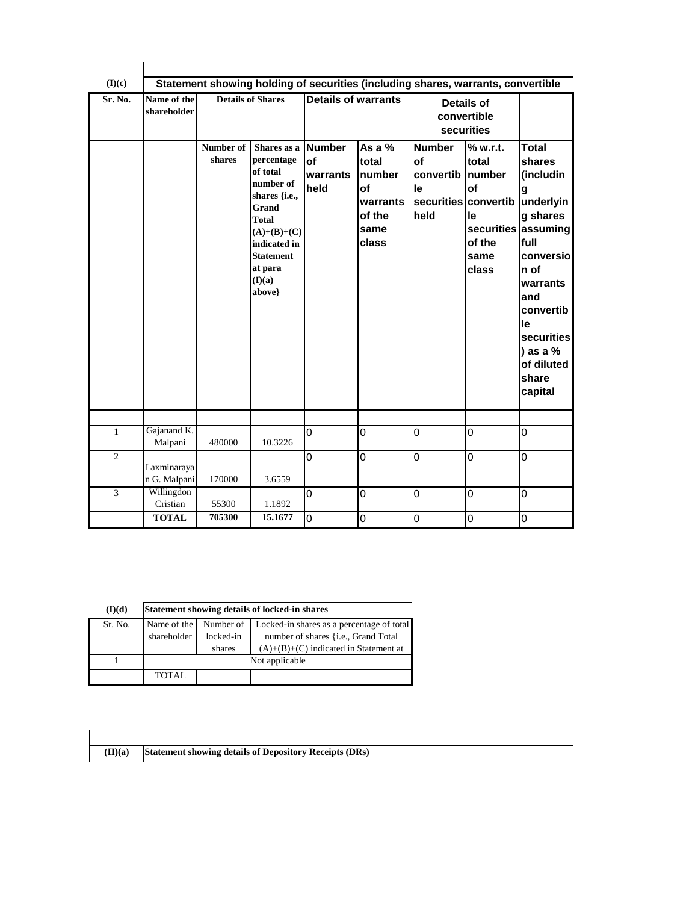| (I)(c)         |                             |                     | Statement showing holding of securities (including shares, warrants, convertible                                                                                                 |                                                |                                                                                        |                                                        |                                                                                  |                                                                                                                                                                                                                     |
|----------------|-----------------------------|---------------------|----------------------------------------------------------------------------------------------------------------------------------------------------------------------------------|------------------------------------------------|----------------------------------------------------------------------------------------|--------------------------------------------------------|----------------------------------------------------------------------------------|---------------------------------------------------------------------------------------------------------------------------------------------------------------------------------------------------------------------|
| Sr. No.        | Name of the<br>shareholder  |                     | <b>Details of Shares</b>                                                                                                                                                         | Details of warrants                            |                                                                                        |                                                        | <b>Details of</b><br>convertible<br>securities                                   |                                                                                                                                                                                                                     |
|                |                             | Number of<br>shares | Shares as a<br>percentage<br>of total<br>number of<br>shares {i.e.,<br>Grand<br><b>Total</b><br>$(A)+(B)+(C)$<br>indicated in<br><b>Statement</b><br>at para<br>(I)(a)<br>above} | <b>Number</b><br><b>of</b><br>warrants<br>held | As a $%$<br>total<br><b>number</b><br><b>of</b><br>warrants<br>of the<br>same<br>class | <b>Number</b><br>of<br>convertib Inumber<br>le<br>held | % w.r.t.<br>total<br>of<br>securities convertib<br>le<br>of the<br>same<br>class | Total<br>shares<br>(includin<br>g<br>underlyin<br>g shares<br>securities assuming<br>full<br>conversiol<br>n of<br>warrants<br>and<br>convertib<br>le<br>securities<br>) as a $%$<br>of diluted<br>share<br>capital |
| $\mathbf{1}$   | Gajanand K.                 |                     |                                                                                                                                                                                  | 0                                              | $\overline{0}$                                                                         | $\mathbf 0$                                            | 0                                                                                | 0                                                                                                                                                                                                                   |
|                | Malpani                     | 480000              | 10.3226                                                                                                                                                                          |                                                |                                                                                        |                                                        |                                                                                  |                                                                                                                                                                                                                     |
| $\overline{2}$ | Laxminaraya<br>n G. Malpani | 170000              | 3.6559                                                                                                                                                                           | 0                                              | 0                                                                                      | $\mathbf 0$                                            | $\overline{0}$                                                                   | 0                                                                                                                                                                                                                   |
| 3              | Willingdon<br>Cristian      | 55300               | 1.1892                                                                                                                                                                           | 0                                              | 0                                                                                      | $\overline{0}$                                         | 0                                                                                | 0                                                                                                                                                                                                                   |
|                | <b>TOTAL</b>                | 705300              | 15.1677                                                                                                                                                                          | 0                                              | 0                                                                                      | $\overline{0}$                                         | 0                                                                                | 0                                                                                                                                                                                                                   |

| (I)(d)  | Statement showing details of locked-in shares |           |                                              |  |  |  |  |  |
|---------|-----------------------------------------------|-----------|----------------------------------------------|--|--|--|--|--|
| Sr. No. | Name of the                                   | Number of | Locked-in shares as a percentage of total    |  |  |  |  |  |
|         | shareholder                                   | locked-in | number of shares { <i>i.e.</i> , Grand Total |  |  |  |  |  |
|         |                                               | shares    | $(A)+(B)+(C)$ indicated in Statement at      |  |  |  |  |  |
|         | Not applicable                                |           |                                              |  |  |  |  |  |
|         | TOTAL                                         |           |                                              |  |  |  |  |  |

**(II)(a) Statement showing details of Depository Receipts (DRs)**